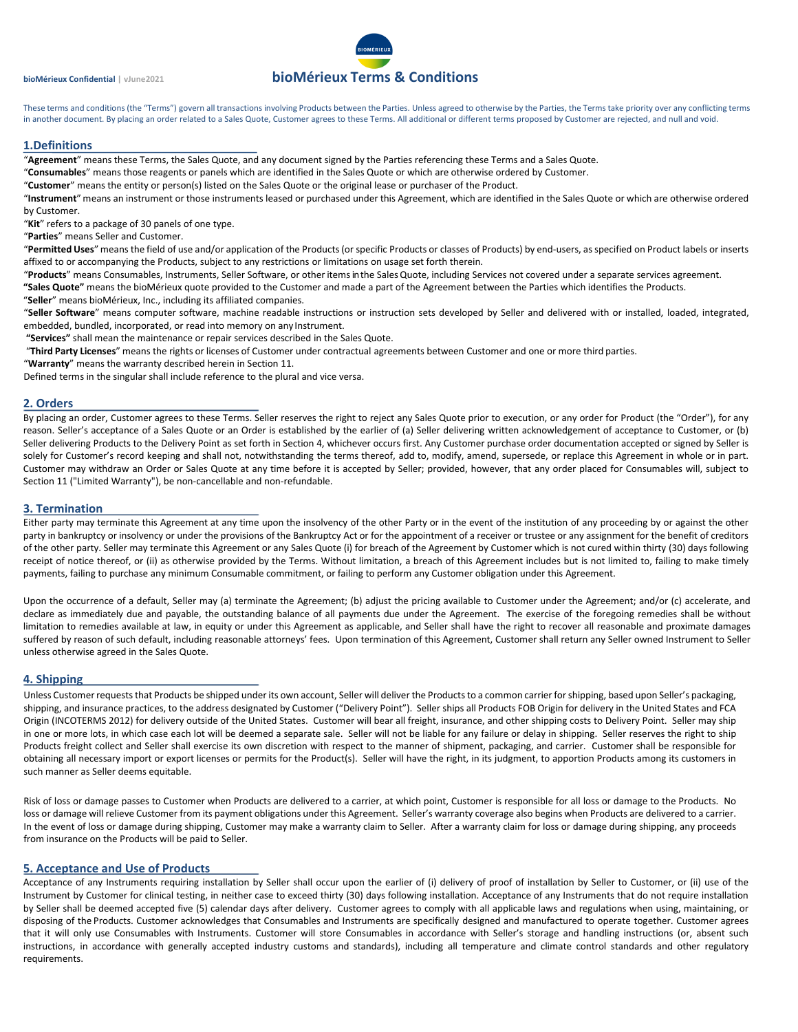# **bioMérieux Confidential | vJune2021 bioMérieux Terms & Conditions**

These terms and conditions (the "Terms") govern all transactions involving Products between the Parties. Unless agreed to otherwise by the Parties, the Terms take priority over any conflicting terms in another document. By placing an order related to a Sales Quote, Customer agrees to these Terms. All additional or different terms proposed by Customer are rejected, and null and void.

# **1.Definitions**

"**Agreement**" means these Terms, the Sales Quote, and any document signed by the Parties referencing these Terms and a Sales Quote.

"**Consumables**" means those reagents or panels which are identified in the Sales Quote or which are otherwise ordered by Customer.

"**Customer**" means the entity or person(s) listed on the Sales Quote or the original lease or purchaser of the Product.

"**Instrument**" means an instrument or those instruments leased or purchased under this Agreement, which are identified in the Sales Quote or which are otherwise ordered by Customer.

"**Kit**" refers to a package of 30 panels of one type.

"**Parties**" means Seller and Customer.

"**Permitted Uses**" meansthe field of use and/or application of the Products (or specific Products or classes of Products) by end-users, as specified on Product labels or inserts affixed to or accompanying the Products, subject to any restrictions or limitations on usage set forth therein.

"**Products**" means Consumables, Instruments, Seller Software, or otheritemsin the SalesQuote, including Services not covered under a separate services agreement.

**"Sales Quote"** means the bioMérieux quote provided to the Customer and made a part of the Agreement between the Parties which identifies the Products.

"**Seller**" means bioMérieux, Inc., including its affiliated companies.

"**Seller Software**" means computer software, machine readable instructions or instruction sets developed by Seller and delivered with or installed, loaded, integrated, embedded, bundled, incorporated, or read into memory on any Instrument.

**"Services"** shall mean the maintenance or repair services described in the Sales Quote.

"**Third Party Licenses**" means the rights or licenses of Customer under contractual agreements between Customer and one or more third parties.

"**Warranty**" means the warranty described herein in Section 11.

Defined terms in the singular shall include reference to the plural and vice versa.

## **2. Orders**

By placing an order, Customer agrees to these Terms. Seller reserves the right to reject any Sales Quote prior to execution, or any order for Product (the "Order"), for any reason. Seller's acceptance of a Sales Quote or an Order is established by the earlier of (a) Seller delivering written acknowledgement of acceptance to Customer, or (b) Seller delivering Products to the Delivery Point as set forth in Section 4, whichever occurs first. Any Customer purchase order documentation accepted or signed by Seller is solely for Customer's record keeping and shall not, notwithstanding the terms thereof, add to, modify, amend, supersede, or replace this Agreement in whole or in part. Customer may withdraw an Order or Sales Quote at any time before it is accepted by Seller; provided, however, that any order placed for Consumables will, subject to Section 11 ("Limited Warranty"), be non-cancellable and non-refundable.

# **3. Termination**

Either party may terminate this Agreement at any time upon the insolvency of the other Party or in the event of the institution of any proceeding by or against the other party in bankruptcy or insolvency or under the provisions of the Bankruptcy Act or for the appointment of a receiver or trustee or any assignment for the benefit of creditors of the other party. Seller may terminate this Agreement or any Sales Quote (i) for breach of the Agreement by Customer which is not cured within thirty (30) days following receipt of notice thereof, or (ii) as otherwise provided by the Terms. Without limitation, a breach of this Agreement includes but is not limited to, failing to make timely payments, failing to purchase any minimum Consumable commitment, or failing to perform any Customer obligation under this Agreement.

Upon the occurrence of a default, Seller may (a) terminate the Agreement; (b) adjust the pricing available to Customer under the Agreement; and/or (c) accelerate, and declare as immediately due and payable, the outstanding balance of all payments due under the Agreement. The exercise of the foregoing remedies shall be without limitation to remedies available at law, in equity or under this Agreement as applicable, and Seller shall have the right to recover all reasonable and proximate damages suffered by reason of such default, including reasonable attorneys' fees. Upon termination of this Agreement, Customer shall return any Seller owned Instrument to Seller unless otherwise agreed in the Sales Quote.

# **4. Shipping**

Unless Customer requests that Products be shipped under its own account, Seller will deliver the Products to a common carrier for shipping, based upon Seller's packaging, shipping, and insurance practices, to the address designated by Customer ("Delivery Point"). Seller ships all Products FOB Origin for delivery in the United States and FCA Origin (INCOTERMS 2012) for delivery outside of the United States. Customer will bear all freight, insurance, and other shipping costs to Delivery Point. Seller may ship in one or more lots, in which case each lot will be deemed a separate sale. Seller will not be liable for any failure or delay in shipping. Seller reserves the right to ship Products freight collect and Seller shall exercise its own discretion with respect to the manner of shipment, packaging, and carrier. Customer shall be responsible for obtaining all necessary import or export licenses or permits for the Product(s). Seller will have the right, in its judgment, to apportion Products among its customers in such manner as Seller deems equitable.

Risk of loss or damage passes to Customer when Products are delivered to a carrier, at which point, Customer is responsible for all loss or damage to the Products. No loss or damage will relieve Customer from its payment obligations under this Agreement. Seller's warranty coverage also begins when Products are delivered to a carrier. In the event of loss or damage during shipping, Customer may make a warranty claim to Seller. After a warranty claim for loss or damage during shipping, any proceeds from insurance on the Products will be paid to Seller.

### **5. Acceptance and Use of Products**

Acceptance of any Instruments requiring installation by Seller shall occur upon the earlier of (i) delivery of proof of installation by Seller to Customer, or (ii) use of the Instrument by Customer for clinical testing, in neither case to exceed thirty (30) days following installation. Acceptance of any Instruments that do not require installation by Seller shall be deemed accepted five (5) calendar days after delivery. Customer agrees to comply with all applicable laws and regulations when using, maintaining, or disposing of the Products. Customer acknowledges that Consumables and Instruments are specifically designed and manufactured to operate together. Customer agrees that it will only use Consumables with Instruments. Customer will store Consumables in accordance with Seller's storage and handling instructions (or, absent such instructions, in accordance with generally accepted industry customs and standards), including all temperature and climate control standards and other regulatory requirements.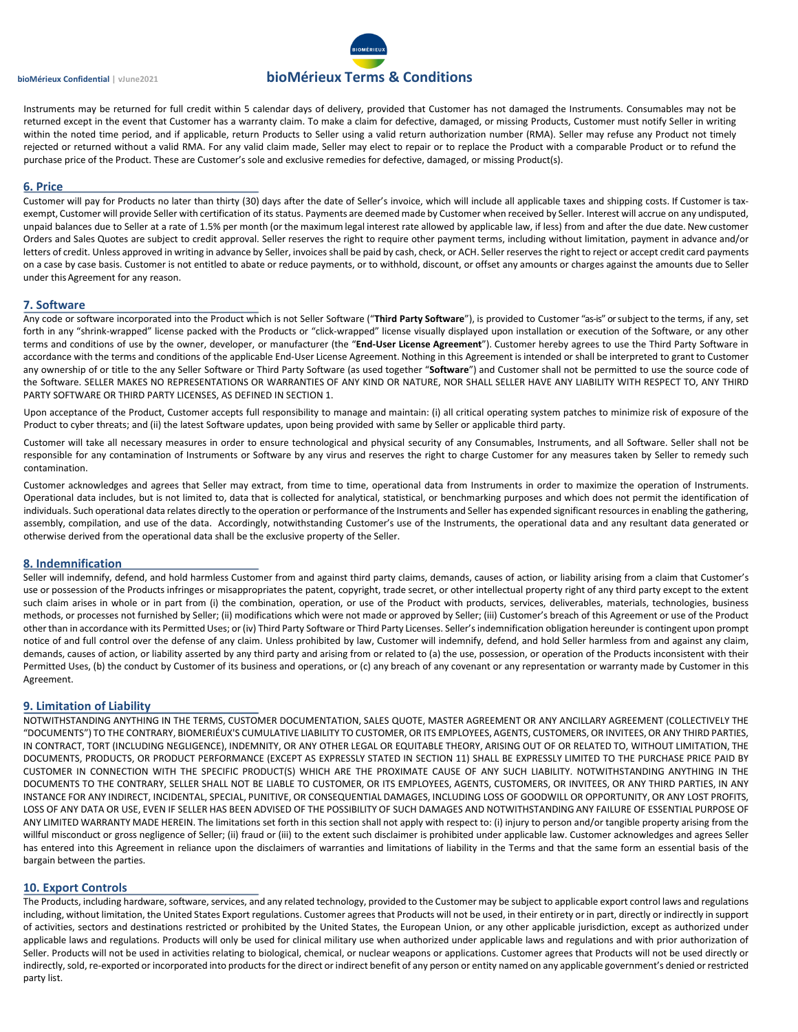# **bioMérieux Confidential | vJune2021 bioMérieux Terms & Conditions**

Instruments may be returned for full credit within 5 calendar days of delivery, provided that Customer has not damaged the Instruments. Consumables may not be returned except in the event that Customer has a warranty claim. To make a claim for defective, damaged, or missing Products, Customer must notify Seller in writing within the noted time period, and if applicable, return Products to Seller using a valid return authorization number (RMA). Seller may refuse any Product not timely rejected or returned without a valid RMA. For any valid claim made, Seller may elect to repair or to replace the Product with a comparable Product or to refund the purchase price of the Product. These are Customer's sole and exclusive remedies for defective, damaged, or missing Product(s).

#### **6. Price**

Customer will pay for Products no later than thirty (30) days after the date of Seller's invoice, which will include all applicable taxes and shipping costs. If Customer is taxexempt, Customer will provide Seller with certification of its status. Payments are deemed made by Customer when received by Seller. Interest will accrue on any undisputed, unpaid balances due to Seller at a rate of 1.5% per month (or the maximum legal interest rate allowed by applicable law, if less) from and after the due date. New customer Orders and Sales Quotes are subject to credit approval. Seller reserves the right to require other payment terms, including without limitation, payment in advance and/or letters of credit. Unless approved in writing in advance by Seller, invoices shall be paid by cash, check, or ACH. Seller reserves the right to reject or accept credit card payments on a case by case basis. Customer is not entitled to abate or reduce payments, or to withhold, discount, or offset any amounts or charges against the amounts due to Seller under this Agreement for any reason.

#### **7. Software**

Any code or software incorporated into the Product which is not Seller Software ("**Third Party Software**"), is provided to Customer "as-is" or subject to the terms, if any, set forth in any "shrink-wrapped" license packed with the Products or "click-wrapped" license visually displayed upon installation or execution of the Software, or any other terms and conditions of use by the owner, developer, or manufacturer (the "**End-User License Agreement**"). Customer hereby agrees to use the Third Party Software in accordance with the terms and conditions of the applicable End-User License Agreement. Nothing in this Agreement is intended or shall be interpreted to grant to Customer any ownership of or title to the any Seller Software or Third Party Software (as used together "**Software**") and Customer shall not be permitted to use the source code of the Software. SELLER MAKES NO REPRESENTATIONS OR WARRANTIES OF ANY KIND OR NATURE, NOR SHALL SELLER HAVE ANY LIABILITY WITH RESPECT TO, ANY THIRD PARTY SOFTWARE OR THIRD PARTY LICENSES, AS DEFINED IN SECTION 1.

Upon acceptance of the Product, Customer accepts full responsibility to manage and maintain: (i) all critical operating system patches to minimize risk of exposure of the Product to cyber threats; and (ii) the latest Software updates, upon being provided with same by Seller or applicable third party.

Customer will take all necessary measures in order to ensure technological and physical security of any Consumables, Instruments, and all Software. Seller shall not be responsible for any contamination of Instruments or Software by any virus and reserves the right to charge Customer for any measures taken by Seller to remedy such contamination.

Customer acknowledges and agrees that Seller may extract, from time to time, operational data from Instruments in order to maximize the operation of Instruments. Operational data includes, but is not limited to, data that is collected for analytical, statistical, or benchmarking purposes and which does not permit the identification of individuals. Such operational data relates directly to the operation or performance of the Instruments and Seller has expended significant resources in enabling the gathering, assembly, compilation, and use of the data. Accordingly, notwithstanding Customer's use of the Instruments, the operational data and any resultant data generated or otherwise derived from the operational data shall be the exclusive property of the Seller.

### **8. Indemnification**

Seller will indemnify, defend, and hold harmless Customer from and against third party claims, demands, causes of action, or liability arising from a claim that Customer's use or possession of the Products infringes or misappropriates the patent, copyright, trade secret, or other intellectual property right of any third party except to the extent such claim arises in whole or in part from (i) the combination, operation, or use of the Product with products, services, deliverables, materials, technologies, business methods, or processes not furnished by Seller; (ii) modifications which were not made or approved by Seller; (iii) Customer's breach of this Agreement or use of the Product other than in accordance with its Permitted Uses; or (iv) Third Party Software or Third Party Licenses. Seller's indemnification obligation hereunder is contingent upon prompt notice of and full control over the defense of any claim. Unless prohibited by law, Customer will indemnify, defend, and hold Seller harmless from and against any claim, demands, causes of action, or liability asserted by any third party and arising from or related to (a) the use, possession, or operation of the Products inconsistent with their Permitted Uses, (b) the conduct by Customer of its business and operations, or (c) any breach of any covenant or any representation or warranty made by Customer in this Agreement.

### **9. Limitation of Liability**

NOTWITHSTANDING ANYTHING IN THE TERMS, CUSTOMER DOCUMENTATION, SALES QUOTE, MASTER AGREEMENT OR ANY ANCILLARY AGREEMENT (COLLECTIVELY THE "DOCUMENTS") TO THE CONTRARY, BIOMERIÉUX'S CUMULATIVE LIABILITY TO CUSTOMER, OR ITS EMPLOYEES, AGENTS, CUSTOMERS, OR INVITEES, OR ANY THIRD PARTIES, IN CONTRACT, TORT (INCLUDING NEGLIGENCE), INDEMNITY, OR ANY OTHER LEGAL OR EQUITABLE THEORY, ARISING OUT OF OR RELATED TO, WITHOUT LIMITATION, THE DOCUMENTS, PRODUCTS, OR PRODUCT PERFORMANCE (EXCEPT AS EXPRESSLY STATED IN SECTION 11) SHALL BE EXPRESSLY LIMITED TO THE PURCHASE PRICE PAID BY CUSTOMER IN CONNECTION WITH THE SPECIFIC PRODUCT(S) WHICH ARE THE PROXIMATE CAUSE OF ANY SUCH LIABILITY. NOTWITHSTANDING ANYTHING IN THE DOCUMENTS TO THE CONTRARY, SELLER SHALL NOT BE LIABLE TO CUSTOMER, OR ITS EMPLOYEES, AGENTS, CUSTOMERS, OR INVITEES, OR ANY THIRD PARTIES, IN ANY INSTANCE FOR ANY INDIRECT, INCIDENTAL, SPECIAL, PUNITIVE, OR CONSEQUENTIAL DAMAGES, INCLUDING LOSS OF GOODWILL OR OPPORTUNITY, OR ANY LOST PROFITS, LOSS OF ANY DATA OR USE, EVEN IF SELLER HAS BEEN ADVISED OF THE POSSIBILITY OF SUCH DAMAGES AND NOTWITHSTANDING ANY FAILURE OF ESSENTIAL PURPOSE OF ANY LIMITED WARRANTY MADE HEREIN. The limitations set forth in this section shall not apply with respect to: (i) injury to person and/or tangible property arising from the willful misconduct or gross negligence of Seller; (ii) fraud or (iii) to the extent such disclaimer is prohibited under applicable law. Customer acknowledges and agrees Seller has entered into this Agreement in reliance upon the disclaimers of warranties and limitations of liability in the Terms and that the same form an essential basis of the bargain between the parties.

#### **10. Export Controls**

The Products, including hardware, software, services, and any related technology, provided to the Customer may be subject to applicable export control laws and regulations including, without limitation, the United States Export regulations. Customer agrees that Products will not be used, in their entirety or in part, directly or indirectly in support of activities, sectors and destinations restricted or prohibited by the United States, the European Union, or any other applicable jurisdiction, except as authorized under applicable laws and regulations. Products will only be used for clinical military use when authorized under applicable laws and regulations and with prior authorization of Seller. Products will not be used in activities relating to biological, chemical, or nuclear weapons or applications. Customer agrees that Products will not be used directly or indirectly, sold, re-exported or incorporated into products for the direct or indirect benefit of any person or entity named on any applicable government's denied or restricted party list.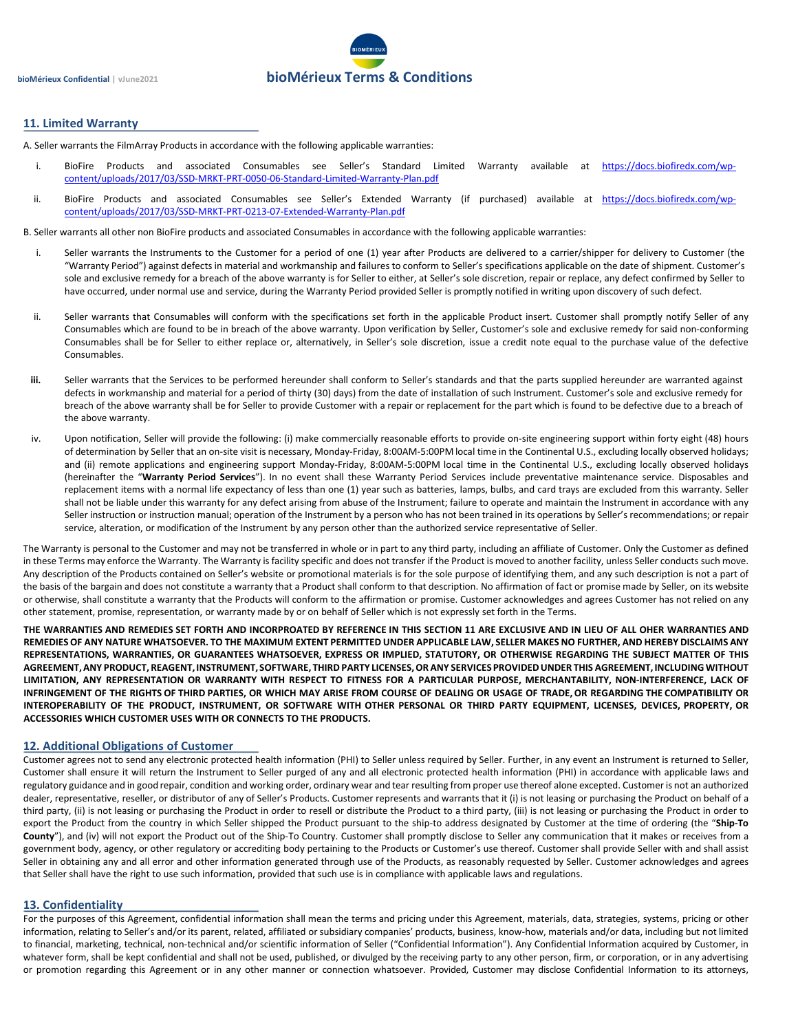

# **11. Limited Warranty**

A. Seller warrants the FilmArray Products in accordance with the following applicable warranties:

- i. BioFire Products and associated Consumables see Seller's Standard Limited Warranty available at [https://docs.biofiredx.com/wp](https://docs.biofiredx.com/wp-content/uploads/2017/03/SSD-MRKT-PRT-0050-06-Standard-Limited-Warranty-Plan.pdf)[content/uploads/2017/03/SSD-MRKT-PRT-0050-06-Standard-Limited-Warranty-Plan.pdf](https://docs.biofiredx.com/wp-content/uploads/2017/03/SSD-MRKT-PRT-0050-06-Standard-Limited-Warranty-Plan.pdf)
- ii. BioFire Products and associated Consumables see Seller's Extended Warranty (if purchased) available at [https://docs.biofiredx.com/wp](https://docs.biofiredx.com/wp-content/uploads/2017/03/SSD-MRKT-PRT-0213-07-Extended-Warranty-Plan.pdf)[content/uploads/2017/03/SSD-MRKT-PRT-0213-07-Extended-Warranty-Plan.pdf](https://docs.biofiredx.com/wp-content/uploads/2017/03/SSD-MRKT-PRT-0213-07-Extended-Warranty-Plan.pdf)

B. Seller warrants all other non BioFire products and associated Consumables in accordance with the following applicable warranties:

- i. Seller warrants the Instruments to the Customer for a period of one (1) year after Products are delivered to a carrier/shipper for delivery to Customer (the "Warranty Period") against defects in material and workmanship and failures to conform to Seller's specifications applicable on the date of shipment. Customer's sole and exclusive remedy for a breach of the above warranty is for Seller to either, at Seller's sole discretion, repair or replace, any defect confirmed by Seller to have occurred, under normal use and service, during the Warranty Period provided Seller is promptly notified in writing upon discovery of such defect.
- ii. Seller warrants that Consumables will conform with the specifications set forth in the applicable Product insert. Customer shall promptly notify Seller of any Consumables which are found to be in breach of the above warranty. Upon verification by Seller, Customer's sole and exclusive remedy for said non-conforming Consumables shall be for Seller to either replace or, alternatively, in Seller's sole discretion, issue a credit note equal to the purchase value of the defective Consumables.
- **iii.** Seller warrants that the Services to be performed hereunder shall conform to Seller's standards and that the parts supplied hereunder are warranted against defects in workmanship and material for a period of thirty (30) days) from the date of installation of such Instrument. Customer's sole and exclusive remedy for breach of the above warranty shall be for Seller to provide Customer with a repair or replacement for the part which is found to be defective due to a breach of the above warranty.
- iv. Upon notification, Seller will provide the following: (i) make commercially reasonable efforts to provide on-site engineering support within forty eight (48) hours of determination by Seller that an on-site visit is necessary, Monday-Friday, 8:00AM-5:00PM local time in the Continental U.S., excluding locally observed holidays; and (ii) remote applications and engineering support Monday-Friday, 8:00AM-5:00PM local time in the Continental U.S., excluding locally observed holidays (hereinafter the "**Warranty Period Services**"). In no event shall these Warranty Period Services include preventative maintenance service. Disposables and replacement items with a normal life expectancy of less than one (1) year such as batteries, lamps, bulbs, and card trays are excluded from this warranty. Seller shall not be liable under this warranty for any defect arising from abuse of the Instrument; failure to operate and maintain the Instrument in accordance with any Seller instruction or instruction manual; operation of the Instrument by a person who has not been trained in its operations by Seller's recommendations; or repair service, alteration, or modification of the Instrument by any person other than the authorized service representative of Seller.

The Warranty is personal to the Customer and may not be transferred in whole or in part to any third party, including an affiliate of Customer. Only the Customer as defined in these Terms may enforce the Warranty. The Warranty is facility specific and does not transfer if the Product is moved to another facility, unless Seller conducts such move. Any description of the Products contained on Seller's website or promotional materials is for the sole purpose of identifying them, and any such description is not a part of the basis of the bargain and does not constitute a warranty that a Product shall conform to that description. No affirmation of fact or promise made by Seller, on its website or otherwise, shall constitute a warranty that the Products will conform to the affirmation or promise. Customer acknowledges and agrees Customer has not relied on any other statement, promise, representation, or warranty made by or on behalf of Seller which is not expressly set forth in the Terms.

**THE WARRANTIES AND REMEDIES SET FORTH AND INCORPROATED BY REFERENCE IN THIS SECTION 11 ARE EXCLUSIVE AND IN LIEU OF ALL OHER WARRANTIES AND REMEDIESOF ANY NATURE WHATSOEVER. TO THE MAXIMUM EXTENT PERMITTED UNDER APPLICABLE LAW, SELLER MAKES NO FURTHER, AND HEREBY DISCLAIMS ANY REPRESENTATIONS, WARRANTIES, OR GUARANTEES WHATSOEVER, EXPRESS OR IMPLIED, STATUTORY, OR OTHERWISE REGARDING THE SUBJECT MATTER OF THIS AGREEMENT, ANY PRODUCT, REAGENT, INSTRUMENT, SOFTWARE, THIRD PARTY LICENSES, OR ANY SERVICES PROVIDED UNDER THIS AGREEMENT,INCLUDING WITHOUT LIMITATION, ANY REPRESENTATION OR WARRANTY WITH RESPECT TO FITNESS FOR A PARTICULAR PURPOSE, MERCHANTABILITY, NON-INTERFERENCE, LACK OF INFRINGEMENT OF THE RIGHTS OF THIRD PARTIES, OR WHICH MAY ARISE FROM COURSE OF DEALING OR USAGE OF TRADE, OR REGARDING THE COMPATIBILITY OR INTEROPERABILITY OF THE PRODUCT, INSTRUMENT, OR SOFTWARE WITH OTHER PERSONAL OR THIRD PARTY EQUIPMENT, LICENSES, DEVICES, PROPERTY, OR ACCESSORIES WHICH CUSTOMER USES WITH OR CONNECTS TO THE PRODUCTS.**

### **12. Additional Obligations of Customer**

Customer agrees not to send any electronic protected health information (PHI) to Seller unless required by Seller. Further, in any event an Instrument is returned to Seller, Customer shall ensure it will return the Instrument to Seller purged of any and all electronic protected health information (PHI) in accordance with applicable laws and regulatory guidance and in good repair, condition and working order, ordinary wear and tear resulting from proper use thereof alone excepted. Customer is not an authorized dealer, representative, reseller, or distributor of any of Seller's Products. Customer represents and warrants that it (i) is not leasing or purchasing the Product on behalf of a third party, (ii) is not leasing or purchasing the Product in order to resell or distribute the Product to a third party, (iii) is not leasing or purchasing the Product in order to export the Product from the country in which Seller shipped the Product pursuant to the ship-to address designated by Customer at the time of ordering (the "**Ship-To County**"), and (iv) will not export the Product out of the Ship-To Country. Customer shall promptly disclose to Seller any communication that it makes or receives from a government body, agency, or other regulatory or accrediting body pertaining to the Products or Customer's use thereof. Customer shall provide Seller with and shall assist Seller in obtaining any and all error and other information generated through use of the Products, as reasonably requested by Seller. Customer acknowledges and agrees that Seller shall have the right to use such information, provided that such use is in compliance with applicable laws and regulations.

## **13. Confidentiality**

For the purposes of this Agreement, confidential information shall mean the terms and pricing under this Agreement, materials, data, strategies, systems, pricing or other information, relating to Seller's and/or its parent, related, affiliated or subsidiary companies' products, business, know-how, materials and/or data, including but not limited to financial, marketing, technical, non-technical and/or scientific information of Seller ("Confidential Information"). Any Confidential Information acquired by Customer, in whatever form, shall be kept confidential and shall not be used, published, or divulged by the receiving party to any other person, firm, or corporation, or in any advertising or promotion regarding this Agreement or in any other manner or connection whatsoever. Provided, Customer may disclose Confidential Information to its attorneys,